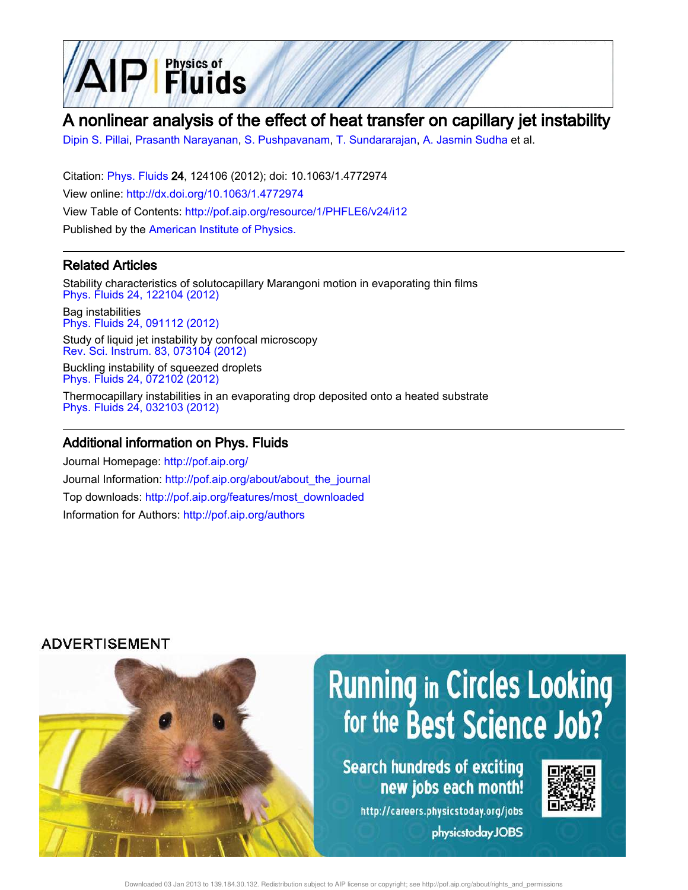

Dipin S. Pillai, Prasanth Narayanan, S. Pushpavanam, T. Sundararajan, A. Jasmin Sudha et al.

Citation: Phys. Fluids 24, 124106 (2012); doi: 10.1063/1.4772974 View online: http://dx.doi.org/10.1063/1.4772974 View Table of Contents: http://pof.aip.org/resource/1/PHFLE6/v24/i12 Published by the American Institute of Physics.

**Physics of**<br>**Fluids** 

# Related Articles

Stability characteristics of solutocapillary Marangoni motion in evaporating thin films Phys. Fluids 24, 122104 (2012)

Bag instabilities Phys. Fluids 24, 091112 (2012)

Study of liquid jet instability by confocal microscopy Rev. Sci. Instrum. 83, 073104 (2012)

Buckling instability of squeezed droplets Phys. Fluids 24, 072102 (2012)

Thermocapillary instabilities in an evaporating drop deposited onto a heated substrate Phys. Fluids 24, 032103 (2012)

# Additional information on Phys. Fluids

Journal Homepage: http://pof.aip.org/ Journal Information: http://pof.aip.org/about/about\_the\_journal Top downloads: http://pof.aip.org/features/most\_downloaded Information for Authors: http://pof.aip.org/authors

# **ADVERTISEMENT**



# **Running in Circles Looking** for the Best Science Job?

**Search hundreds of exciting** new jobs each month!

http://careers.physicstoday.org/jobs physicstoday JOBS



Downloaded 03 Jan 2013 to 139.184.30.132. Redistribution subject to AIP license or copyright; see http://pof.aip.org/about/rights\_and\_permissions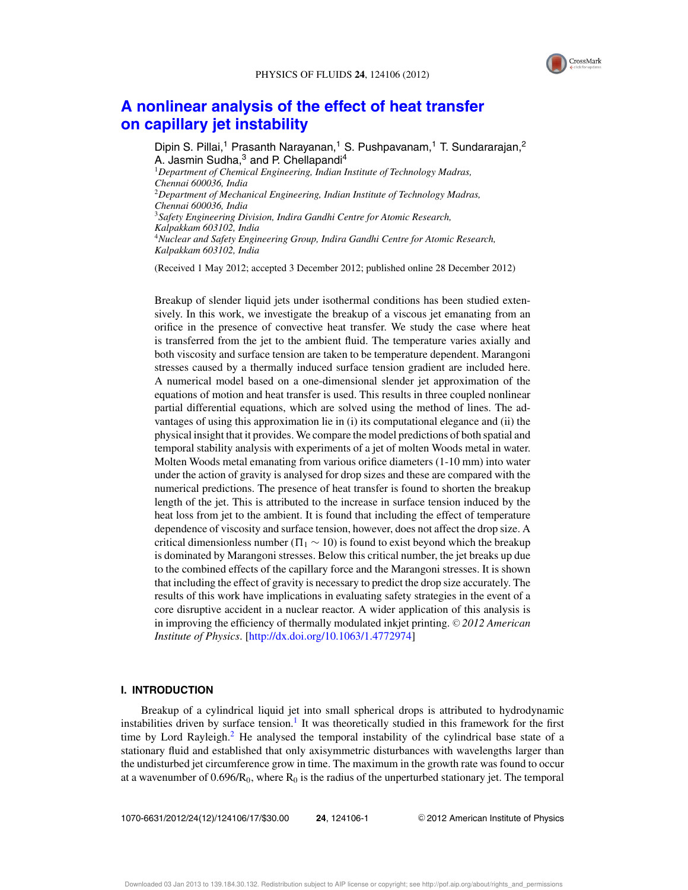

# **A nonlinear analysis of the effect of heat transfer on capillary jet instability**

Dipin S. Pillai,<sup>1</sup> Prasanth Narayanan,<sup>1</sup> S. Pushpavanam,<sup>1</sup> T. Sundararajan,<sup>2</sup> A. Jasmin Sudha,<sup>3</sup> and P. Chellapandi<sup>4</sup>

<sup>1</sup>*Department of Chemical Engineering, Indian Institute of Technology Madras, Chennai 600036, India* <sup>2</sup>*Department of Mechanical Engineering, Indian Institute of Technology Madras, Chennai 600036, India* <sup>3</sup>*Safety Engineering Division, Indira Gandhi Centre for Atomic Research, Kalpakkam 603102, India* <sup>4</sup>*Nuclear and Safety Engineering Group, Indira Gandhi Centre for Atomic Research, Kalpakkam 603102, India*

(Received 1 May 2012; accepted 3 December 2012; published online 28 December 2012)

Breakup of slender liquid jets under isothermal conditions has been studied extensively. In this work, we investigate the breakup of a viscous jet emanating from an orifice in the presence of convective heat transfer. We study the case where heat is transferred from the jet to the ambient fluid. The temperature varies axially and both viscosity and surface tension are taken to be temperature dependent. Marangoni stresses caused by a thermally induced surface tension gradient are included here. A numerical model based on a one-dimensional slender jet approximation of the equations of motion and heat transfer is used. This results in three coupled nonlinear partial differential equations, which are solved using the method of lines. The advantages of using this approximation lie in (i) its computational elegance and (ii) the physical insight that it provides. We compare the model predictions of both spatial and temporal stability analysis with experiments of a jet of molten Woods metal in water. Molten Woods metal emanating from various orifice diameters (1-10 mm) into water under the action of gravity is analysed for drop sizes and these are compared with the numerical predictions. The presence of heat transfer is found to shorten the breakup length of the jet. This is attributed to the increase in surface tension induced by the heat loss from jet to the ambient. It is found that including the effect of temperature dependence of viscosity and surface tension, however, does not affect the drop size. A critical dimensionless number ( $\Pi_1 \sim 10$ ) is found to exist beyond which the breakup is dominated by Marangoni stresses. Below this critical number, the jet breaks up due to the combined effects of the capillary force and the Marangoni stresses. It is shown that including the effect of gravity is necessary to predict the drop size accurately. The results of this work have implications in evaluating safety strategies in the event of a core disruptive accident in a nuclear reactor. A wider application of this analysis is in improving the efficiency of thermally modulated inkjet printing. © 2012 American *Institute of Physics*. [http://dx.doi.org/10.1063/1.4772974]

#### **I. INTRODUCTION**

Breakup of a cylindrical liquid jet into small spherical drops is attributed to hydrodynamic instabilities driven by surface tension.<sup>1</sup> It was theoretically studied in this framework for the first time by Lord Rayleigh.<sup>2</sup> He analysed the temporal instability of the cylindrical base state of a stationary fluid and established that only axisymmetric disturbances with wavelengths larger than the undisturbed jet circumference grow in time. The maximum in the growth rate was found to occur at a wavenumber of  $0.696/R_0$ , where  $R_0$  is the radius of the unperturbed stationary jet. The temporal

1070-6631/2012/24(12)/124106/17/\$30.00 **24**, 124106-1 -

<sup>C</sup> 2012 American Institute of Physics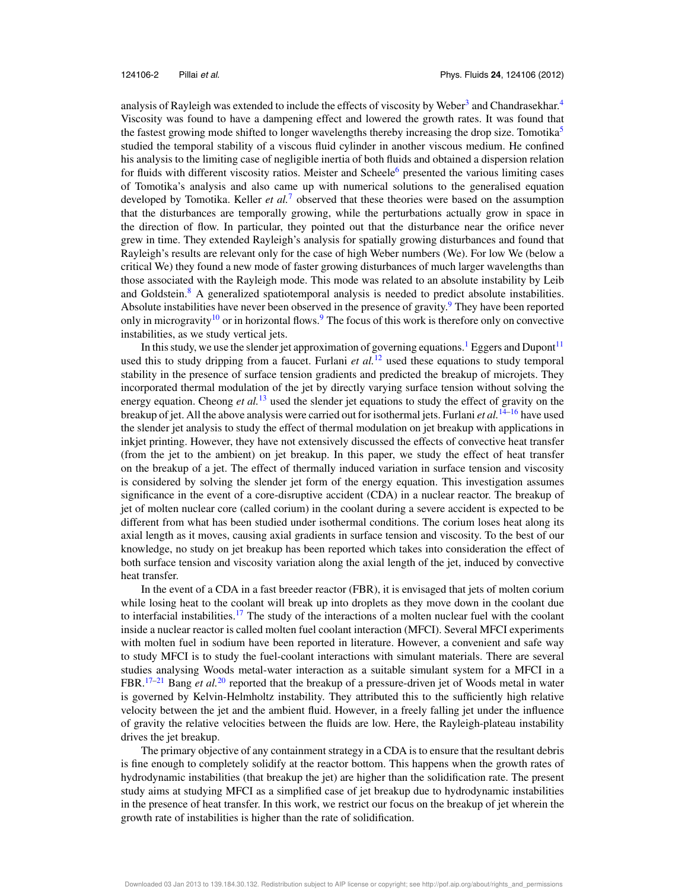analysis of Rayleigh was extended to include the effects of viscosity by Weber<sup>3</sup> and Chandrasekhar.<sup>4</sup> Viscosity was found to have a dampening effect and lowered the growth rates. It was found that the fastest growing mode shifted to longer wavelengths thereby increasing the drop size. Tomotika<sup>5</sup> studied the temporal stability of a viscous fluid cylinder in another viscous medium. He confined his analysis to the limiting case of negligible inertia of both fluids and obtained a dispersion relation for fluids with different viscosity ratios. Meister and Scheele<sup>6</sup> presented the various limiting cases of Tomotika's analysis and also came up with numerical solutions to the generalised equation developed by Tomotika. Keller *et al.*<sup>7</sup> observed that these theories were based on the assumption that the disturbances are temporally growing, while the perturbations actually grow in space in the direction of flow. In particular, they pointed out that the disturbance near the orifice never grew in time. They extended Rayleigh's analysis for spatially growing disturbances and found that Rayleigh's results are relevant only for the case of high Weber numbers (We). For low We (below a critical We) they found a new mode of faster growing disturbances of much larger wavelengths than those associated with the Rayleigh mode. This mode was related to an absolute instability by Leib and Goldstein. $8$  A generalized spatiotemporal analysis is needed to predict absolute instabilities. Absolute instabilities have never been observed in the presence of gravity.<sup>9</sup> They have been reported only in microgravity<sup>10</sup> or in horizontal flows.<sup>9</sup> The focus of this work is therefore only on convective instabilities, as we study vertical jets.

In this study, we use the slender jet approximation of governing equations.<sup>1</sup> Eggers and Dupont<sup>11</sup> used this to study dripping from a faucet. Furlani *et al.*<sup>12</sup> used these equations to study temporal stability in the presence of surface tension gradients and predicted the breakup of microjets. They incorporated thermal modulation of the jet by directly varying surface tension without solving the energy equation. Cheong *et al.*<sup>13</sup> used the slender jet equations to study the effect of gravity on the breakup of jet. All the above analysis were carried out for isothermal jets. Furlani *et al.*14–16 have used the slender jet analysis to study the effect of thermal modulation on jet breakup with applications in inkjet printing. However, they have not extensively discussed the effects of convective heat transfer (from the jet to the ambient) on jet breakup. In this paper, we study the effect of heat transfer on the breakup of a jet. The effect of thermally induced variation in surface tension and viscosity is considered by solving the slender jet form of the energy equation. This investigation assumes significance in the event of a core-disruptive accident (CDA) in a nuclear reactor. The breakup of jet of molten nuclear core (called corium) in the coolant during a severe accident is expected to be different from what has been studied under isothermal conditions. The corium loses heat along its axial length as it moves, causing axial gradients in surface tension and viscosity. To the best of our knowledge, no study on jet breakup has been reported which takes into consideration the effect of both surface tension and viscosity variation along the axial length of the jet, induced by convective heat transfer.

In the event of a CDA in a fast breeder reactor (FBR), it is envisaged that jets of molten corium while losing heat to the coolant will break up into droplets as they move down in the coolant due to interfacial instabilities.<sup>17</sup> The study of the interactions of a molten nuclear fuel with the coolant inside a nuclear reactor is called molten fuel coolant interaction (MFCI). Several MFCI experiments with molten fuel in sodium have been reported in literature. However, a convenient and safe way to study MFCI is to study the fuel-coolant interactions with simulant materials. There are several studies analysing Woods metal-water interaction as a suitable simulant system for a MFCI in a FBR.17–21 Bang *et al.*<sup>20</sup> reported that the breakup of a pressure-driven jet of Woods metal in water is governed by Kelvin-Helmholtz instability. They attributed this to the sufficiently high relative velocity between the jet and the ambient fluid. However, in a freely falling jet under the influence of gravity the relative velocities between the fluids are low. Here, the Rayleigh-plateau instability drives the jet breakup.

The primary objective of any containment strategy in a CDA is to ensure that the resultant debris is fine enough to completely solidify at the reactor bottom. This happens when the growth rates of hydrodynamic instabilities (that breakup the jet) are higher than the solidification rate. The present study aims at studying MFCI as a simplified case of jet breakup due to hydrodynamic instabilities in the presence of heat transfer. In this work, we restrict our focus on the breakup of jet wherein the growth rate of instabilities is higher than the rate of solidification.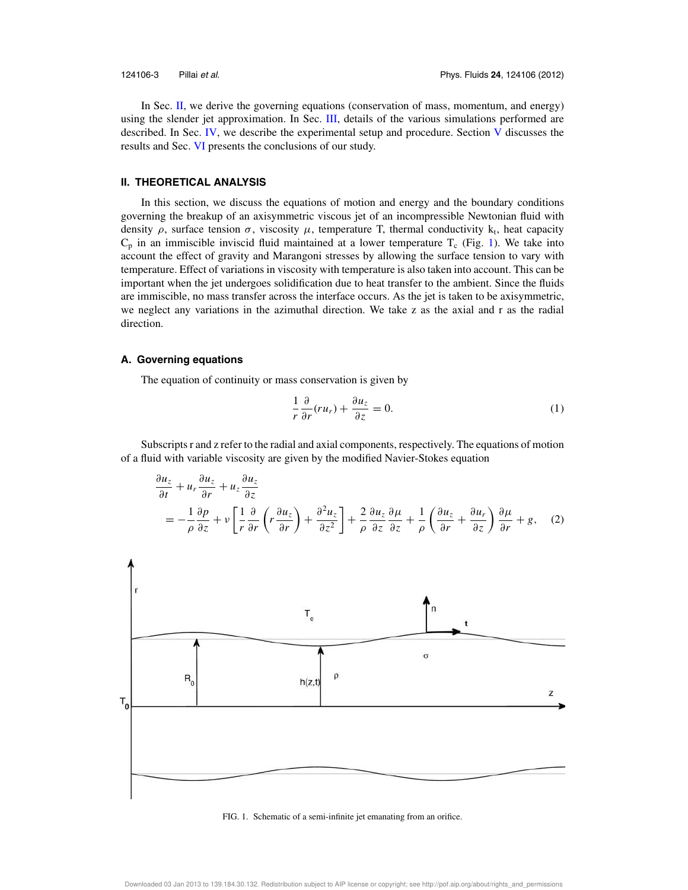In Sec. II, we derive the governing equations (conservation of mass, momentum, and energy) using the slender jet approximation. In Sec. III, details of the various simulations performed are described. In Sec. IV, we describe the experimental setup and procedure. Section V discusses the results and Sec. VI presents the conclusions of our study.

#### **II. THEORETICAL ANALYSIS**

In this section, we discuss the equations of motion and energy and the boundary conditions governing the breakup of an axisymmetric viscous jet of an incompressible Newtonian fluid with density  $\rho$ , surface tension  $\sigma$ , viscosity  $\mu$ , temperature T, thermal conductivity  $k_t$ , heat capacity  $C_p$  in an immiscible inviscid fluid maintained at a lower temperature  $T_c$  (Fig. 1). We take into account the effect of gravity and Marangoni stresses by allowing the surface tension to vary with temperature. Effect of variations in viscosity with temperature is also taken into account. This can be important when the jet undergoes solidification due to heat transfer to the ambient. Since the fluids are immiscible, no mass transfer across the interface occurs. As the jet is taken to be axisymmetric, we neglect any variations in the azimuthal direction. We take z as the axial and r as the radial direction.

#### **A. Governing equations**

The equation of continuity or mass conservation is given by

$$
\frac{1}{r}\frac{\partial}{\partial r}(ru_r) + \frac{\partial u_z}{\partial z} = 0.
$$
 (1)

Subscripts r and z refer to the radial and axial components, respectively. The equations of motion of a fluid with variable viscosity are given by the modified Navier-Stokes equation

$$
\frac{\partial u_z}{\partial t} + u_r \frac{\partial u_z}{\partial r} + u_z \frac{\partial u_z}{\partial z}
$$
\n
$$
= -\frac{1}{\rho} \frac{\partial p}{\partial z} + v \left[ \frac{1}{r} \frac{\partial}{\partial r} \left( r \frac{\partial u_z}{\partial r} \right) + \frac{\partial^2 u_z}{\partial z^2} \right] + \frac{2}{\rho} \frac{\partial u_z}{\partial z} \frac{\partial \mu}{\partial z} + \frac{1}{\rho} \left( \frac{\partial u_z}{\partial r} + \frac{\partial u_r}{\partial z} \right) \frac{\partial \mu}{\partial r} + g, \quad (2)
$$



FIG. 1. Schematic of a semi-infinite jet emanating from an orifice.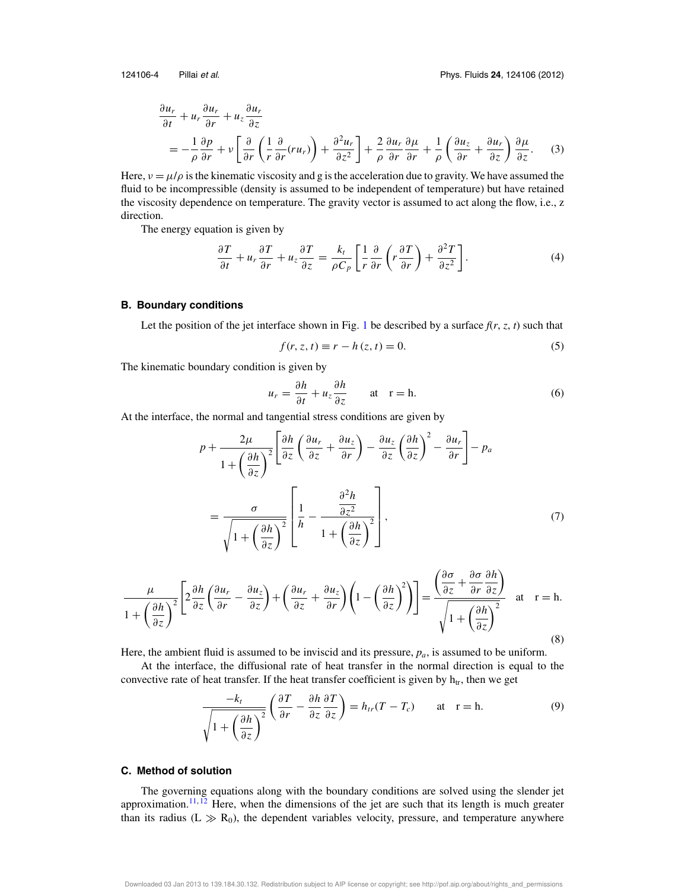124106-4 Pillai et al. Phys. Fluids **24**, 124106 (2012)

$$
\frac{\partial u_r}{\partial t} + u_r \frac{\partial u_r}{\partial r} + u_z \frac{\partial u_r}{\partial z} \n= -\frac{1}{\rho} \frac{\partial p}{\partial r} + v \left[ \frac{\partial}{\partial r} \left( \frac{1}{r} \frac{\partial}{\partial r} (ru_r) \right) + \frac{\partial^2 u_r}{\partial z^2} \right] + \frac{2}{\rho} \frac{\partial u_r}{\partial r} \frac{\partial \mu}{\partial r} + \frac{1}{\rho} \left( \frac{\partial u_z}{\partial r} + \frac{\partial u_r}{\partial z} \right) \frac{\partial \mu}{\partial z}.
$$
\n(3)

Here,  $v = \mu/\rho$  is the kinematic viscosity and g is the acceleration due to gravity. We have assumed the fluid to be incompressible (density is assumed to be independent of temperature) but have retained the viscosity dependence on temperature. The gravity vector is assumed to act along the flow, i.e., z direction.

The energy equation is given by

$$
\frac{\partial T}{\partial t} + u_r \frac{\partial T}{\partial r} + u_z \frac{\partial T}{\partial z} = \frac{k_t}{\rho C_p} \left[ \frac{1}{r} \frac{\partial}{\partial r} \left( r \frac{\partial T}{\partial r} \right) + \frac{\partial^2 T}{\partial z^2} \right].
$$
 (4)

#### **B. Boundary conditions**

Let the position of the jet interface shown in Fig. 1 be described by a surface  $f(r, z, t)$  such that

$$
f(r, z, t) \equiv r - h(z, t) = 0.
$$
 (5)

The kinematic boundary condition is given by

$$
u_r = \frac{\partial h}{\partial t} + u_z \frac{\partial h}{\partial z} \qquad \text{at} \quad r = h. \tag{6}
$$

At the interface, the normal and tangential stress conditions are given by

$$
p + \frac{2\mu}{1 + \left(\frac{\partial h}{\partial z}\right)^2} \left[ \frac{\partial h}{\partial z} \left( \frac{\partial u_r}{\partial z} + \frac{\partial u_z}{\partial r} \right) - \frac{\partial u_z}{\partial z} \left( \frac{\partial h}{\partial z} \right)^2 - \frac{\partial u_r}{\partial r} \right] - p_a
$$
  

$$
= \frac{\sigma}{\sqrt{1 + \left(\frac{\partial h}{\partial z}\right)^2}} \left[ \frac{1}{h} - \frac{\frac{\partial^2 h}{\partial z^2}}{1 + \left(\frac{\partial h}{\partial z}\right)^2} \right],
$$
(7)

$$
\frac{\mu}{1 + \left(\frac{\partial h}{\partial z}\right)^2} \left[ 2 \frac{\partial h}{\partial z} \left( \frac{\partial u_r}{\partial r} - \frac{\partial u_z}{\partial z} \right) + \left( \frac{\partial u_r}{\partial z} + \frac{\partial u_z}{\partial r} \right) \left( 1 - \left( \frac{\partial h}{\partial z} \right)^2 \right) \right] = \frac{\left(\frac{\partial \sigma}{\partial z} + \frac{\partial \sigma}{\partial r} \frac{\partial h}{\partial z}\right)}{\sqrt{1 + \left(\frac{\partial h}{\partial z}\right)^2}} \quad \text{at} \quad r = h.
$$
\n(8)

Here, the ambient fluid is assumed to be inviscid and its pressure, *pa*, is assumed to be uniform.

At the interface, the diffusional rate of heat transfer in the normal direction is equal to the convective rate of heat transfer. If the heat transfer coefficient is given by  $h_{tr}$ , then we get

$$
\frac{-k_t}{\sqrt{1 + \left(\frac{\partial h}{\partial z}\right)^2}} \left(\frac{\partial T}{\partial r} - \frac{\partial h}{\partial z}\frac{\partial T}{\partial z}\right) = h_{tr}(T - T_c) \quad \text{at} \quad r = h. \tag{9}
$$

#### **C. Method of solution**

The governing equations along with the boundary conditions are solved using the slender jet approximation.<sup>11, 12</sup> Here, when the dimensions of the jet are such that its length is much greater than its radius ( $L \gg R_0$ ), the dependent variables velocity, pressure, and temperature anywhere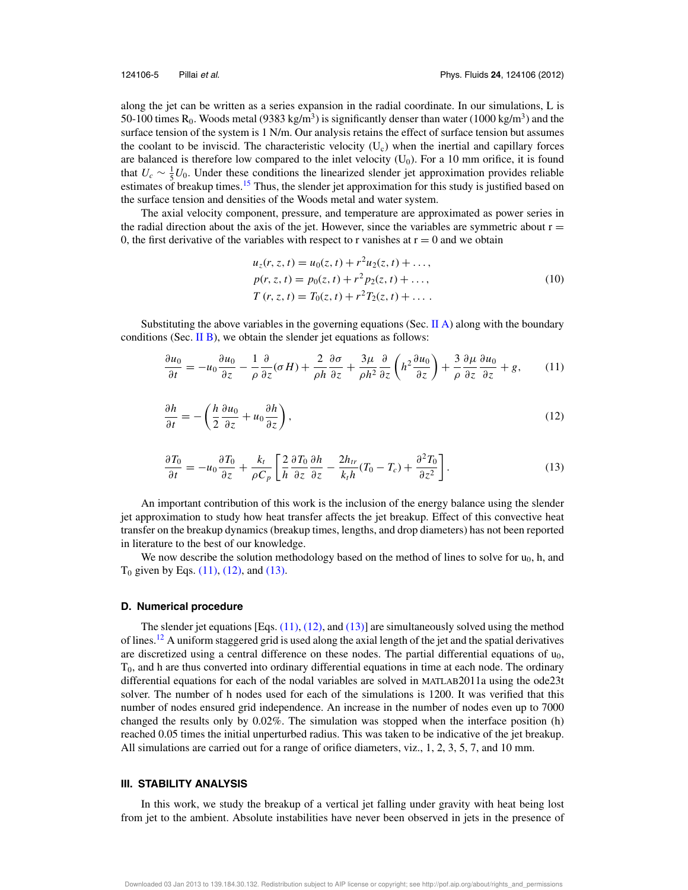along the jet can be written as a series expansion in the radial coordinate. In our simulations, L is 50-100 times  $R_0$ . Woods metal (9383 kg/m<sup>3</sup>) is significantly denser than water (1000 kg/m<sup>3</sup>) and the surface tension of the system is 1 N/m. Our analysis retains the effect of surface tension but assumes the coolant to be inviscid. The characteristic velocity  $(U_c)$  when the inertial and capillary forces are balanced is therefore low compared to the inlet velocity  $(U_0)$ . For a 10 mm orifice, it is found that  $U_c \sim \frac{1}{5}U_0$ . Under these conditions the linearized slender jet approximation provides reliable estimates of breakup times.<sup>15</sup> Thus, the slender jet approximation for this study is justified based on the surface tension and densities of the Woods metal and water system.

The axial velocity component, pressure, and temperature are approximated as power series in the radial direction about the axis of the jet. However, since the variables are symmetric about  $r =$ 0, the first derivative of the variables with respect to r vanishes at  $r = 0$  and we obtain

$$
u_z(r, z, t) = u_0(z, t) + r^2 u_2(z, t) + ..., \np(r, z, t) = p_0(z, t) + r^2 p_2(z, t) + ..., \nT (r, z, t) = T_0(z, t) + r^2 T_2(z, t) + ...
$$
\n(10)

Substituting the above variables in the governing equations (Sec. II A) along with the boundary conditions (Sec. II B), we obtain the slender jet equations as follows:

$$
\frac{\partial u_0}{\partial t} = -u_0 \frac{\partial u_0}{\partial z} - \frac{1}{\rho} \frac{\partial}{\partial z} (\sigma H) + \frac{2}{\rho h} \frac{\partial \sigma}{\partial z} + \frac{3\mu}{\rho h^2} \frac{\partial}{\partial z} \left( h^2 \frac{\partial u_0}{\partial z} \right) + \frac{3}{\rho} \frac{\partial \mu}{\partial z} \frac{\partial u_0}{\partial z} + g, \qquad (11)
$$

$$
\frac{\partial h}{\partial t} = -\left(\frac{h}{2}\frac{\partial u_0}{\partial z} + u_0 \frac{\partial h}{\partial z}\right),\tag{12}
$$

$$
\frac{\partial T_0}{\partial t} = -u_0 \frac{\partial T_0}{\partial z} + \frac{k_t}{\rho C_p} \left[ \frac{2}{h} \frac{\partial T_0}{\partial z} \frac{\partial h}{\partial z} - \frac{2h_{tr}}{k_t h} (T_0 - T_c) + \frac{\partial^2 T_0}{\partial z^2} \right].
$$
\n(13)

An important contribution of this work is the inclusion of the energy balance using the slender jet approximation to study how heat transfer affects the jet breakup. Effect of this convective heat transfer on the breakup dynamics (breakup times, lengths, and drop diameters) has not been reported in literature to the best of our knowledge.

We now describe the solution methodology based on the method of lines to solve for  $u_0$ , h, and  $T_0$  given by Eqs. (11), (12), and (13).

#### **D. Numerical procedure**

The slender jet equations [Eqs.  $(11)$ ,  $(12)$ , and  $(13)$ ] are simultaneously solved using the method of lines.<sup>12</sup> A uniform staggered grid is used along the axial length of the jet and the spatial derivatives are discretized using a central difference on these nodes. The partial differential equations of  $u_0$ ,  $T<sub>0</sub>$ , and h are thus converted into ordinary differential equations in time at each node. The ordinary differential equations for each of the nodal variables are solved in MATLAB2011a using the ode23t solver. The number of h nodes used for each of the simulations is 1200. It was verified that this number of nodes ensured grid independence. An increase in the number of nodes even up to 7000 changed the results only by 0.02%. The simulation was stopped when the interface position (h) reached 0.05 times the initial unperturbed radius. This was taken to be indicative of the jet breakup. All simulations are carried out for a range of orifice diameters, viz., 1, 2, 3, 5, 7, and 10 mm.

# **III. STABILITY ANALYSIS**

In this work, we study the breakup of a vertical jet falling under gravity with heat being lost from jet to the ambient. Absolute instabilities have never been observed in jets in the presence of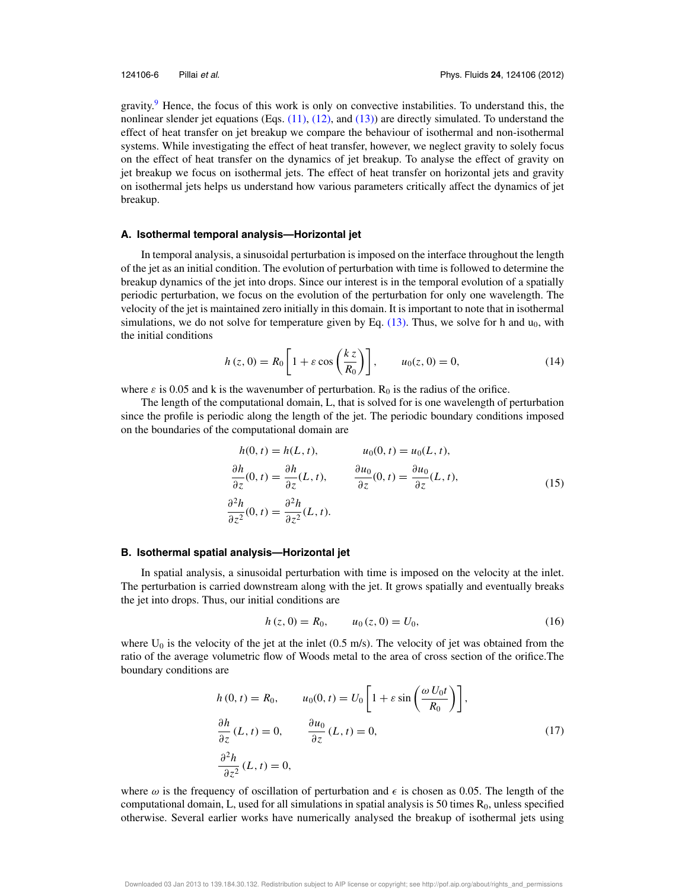gravity. $9$  Hence, the focus of this work is only on convective instabilities. To understand this, the nonlinear slender jet equations (Eqs.  $(11)$ ,  $(12)$ , and  $(13)$ ) are directly simulated. To understand the effect of heat transfer on jet breakup we compare the behaviour of isothermal and non-isothermal systems. While investigating the effect of heat transfer, however, we neglect gravity to solely focus on the effect of heat transfer on the dynamics of jet breakup. To analyse the effect of gravity on jet breakup we focus on isothermal jets. The effect of heat transfer on horizontal jets and gravity on isothermal jets helps us understand how various parameters critically affect the dynamics of jet breakup.

#### **A. Isothermal temporal analysis—Horizontal jet**

In temporal analysis, a sinusoidal perturbation is imposed on the interface throughout the length of the jet as an initial condition. The evolution of perturbation with time is followed to determine the breakup dynamics of the jet into drops. Since our interest is in the temporal evolution of a spatially periodic perturbation, we focus on the evolution of the perturbation for only one wavelength. The velocity of the jet is maintained zero initially in this domain. It is important to note that in isothermal simulations, we do not solve for temperature given by Eq.  $(13)$ . Thus, we solve for h and  $u_0$ , with the initial conditions

$$
h(z, 0) = R_0 \left[ 1 + \varepsilon \cos \left( \frac{k z}{R_0} \right) \right], \qquad u_0(z, 0) = 0,
$$
 (14)

where  $\varepsilon$  is 0.05 and k is the wavenumber of perturbation.  $R_0$  is the radius of the orifice.

The length of the computational domain, L, that is solved for is one wavelength of perturbation since the profile is periodic along the length of the jet. The periodic boundary conditions imposed on the boundaries of the computational domain are

$$
h(0, t) = h(L, t), \t u_0(0, t) = u_0(L, t),
$$
  
\n
$$
\frac{\partial h}{\partial z}(0, t) = \frac{\partial h}{\partial z}(L, t), \t \frac{\partial u_0}{\partial z}(0, t) = \frac{\partial u_0}{\partial z}(L, t),
$$
  
\n
$$
\frac{\partial^2 h}{\partial z^2}(0, t) = \frac{\partial^2 h}{\partial z^2}(L, t).
$$
\n(15)

# **B. Isothermal spatial analysis—Horizontal jet**

In spatial analysis, a sinusoidal perturbation with time is imposed on the velocity at the inlet. The perturbation is carried downstream along with the jet. It grows spatially and eventually breaks the jet into drops. Thus, our initial conditions are

$$
h(z, 0) = R_0, \qquad u_0(z, 0) = U_0,
$$
\n(16)

where  $U_0$  is the velocity of the jet at the inlet (0.5 m/s). The velocity of jet was obtained from the ratio of the average volumetric flow of Woods metal to the area of cross section of the orifice.The boundary conditions are

$$
h(0, t) = R_0, \t u_0(0, t) = U_0 \left[ 1 + \varepsilon \sin\left(\frac{\omega U_0 t}{R_0}\right) \right],
$$
  
\n
$$
\frac{\partial h}{\partial z}(L, t) = 0, \t \frac{\partial u_0}{\partial z}(L, t) = 0,
$$
  
\n
$$
\frac{\partial^2 h}{\partial z^2}(L, t) = 0,
$$
\n(17)

where  $\omega$  is the frequency of oscillation of perturbation and  $\epsilon$  is chosen as 0.05. The length of the computational domain, L, used for all simulations in spatial analysis is  $50$  times  $R_0$ , unless specified otherwise. Several earlier works have numerically analysed the breakup of isothermal jets using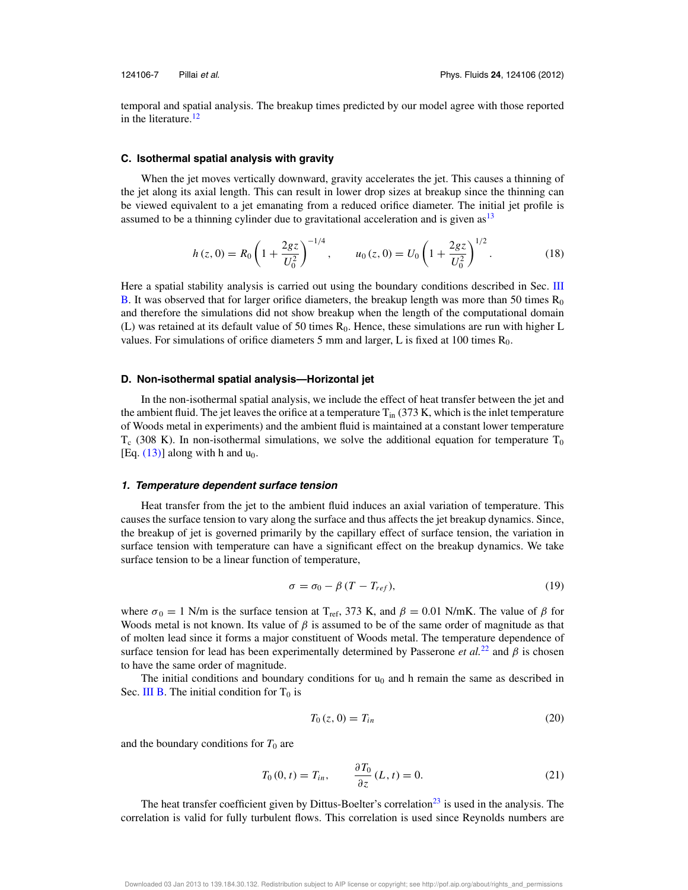temporal and spatial analysis. The breakup times predicted by our model agree with those reported in the literature.<sup>12</sup>

#### **C. Isothermal spatial analysis with gravity**

When the jet moves vertically downward, gravity accelerates the jet. This causes a thinning of the jet along its axial length. This can result in lower drop sizes at breakup since the thinning can be viewed equivalent to a jet emanating from a reduced orifice diameter. The initial jet profile is assumed to be a thinning cylinder due to gravitational acceleration and is given  $as<sup>13</sup>$ 

$$
h(z,0) = R_0 \left( 1 + \frac{2gz}{U_0^2} \right)^{-1/4}, \qquad u_0(z,0) = U_0 \left( 1 + \frac{2gz}{U_0^2} \right)^{1/2}.
$$
 (18)

Here a spatial stability analysis is carried out using the boundary conditions described in Sec. III B. It was observed that for larger orifice diameters, the breakup length was more than 50 times  $R_0$ and therefore the simulations did not show breakup when the length of the computational domain (L) was retained at its default value of 50 times  $R_0$ . Hence, these simulations are run with higher L values. For simulations of orifice diameters 5 mm and larger, L is fixed at 100 times  $R_0$ .

#### **D. Non-isothermal spatial analysis—Horizontal jet**

In the non-isothermal spatial analysis, we include the effect of heat transfer between the jet and the ambient fluid. The jet leaves the orifice at a temperature  $T_{in}$  (373 K, which is the inlet temperature of Woods metal in experiments) and the ambient fluid is maintained at a constant lower temperature  $T_c$  (308 K). In non-isothermal simulations, we solve the additional equation for temperature  $T_0$ [Eq. (13)] along with h and  $u_0$ .

#### **1. Temperature dependent surface tension**

Heat transfer from the jet to the ambient fluid induces an axial variation of temperature. This causes the surface tension to vary along the surface and thus affects the jet breakup dynamics. Since, the breakup of jet is governed primarily by the capillary effect of surface tension, the variation in surface tension with temperature can have a significant effect on the breakup dynamics. We take surface tension to be a linear function of temperature,

$$
\sigma = \sigma_0 - \beta (T - T_{ref}), \qquad (19)
$$

where  $\sigma_0 = 1$  N/m is the surface tension at T<sub>ref</sub>, 373 K, and  $\beta = 0.01$  N/mK. The value of  $\beta$  for Woods metal is not known. Its value of  $\beta$  is assumed to be of the same order of magnitude as that of molten lead since it forms a major constituent of Woods metal. The temperature dependence of surface tension for lead has been experimentally determined by Passerone *et al.*<sup>22</sup> and  $\beta$  is chosen to have the same order of magnitude.

The initial conditions and boundary conditions for  $u_0$  and h remain the same as described in Sec. III B. The initial condition for  $T_0$  is

$$
T_0(z,0) = T_{in} \tag{20}
$$

and the boundary conditions for  $T_0$  are

$$
T_0(0, t) = T_{in}, \qquad \frac{\partial T_0}{\partial z}(L, t) = 0.
$$
 (21)

The heat transfer coefficient given by Dittus-Boelter's correlation<sup>23</sup> is used in the analysis. The correlation is valid for fully turbulent flows. This correlation is used since Reynolds numbers are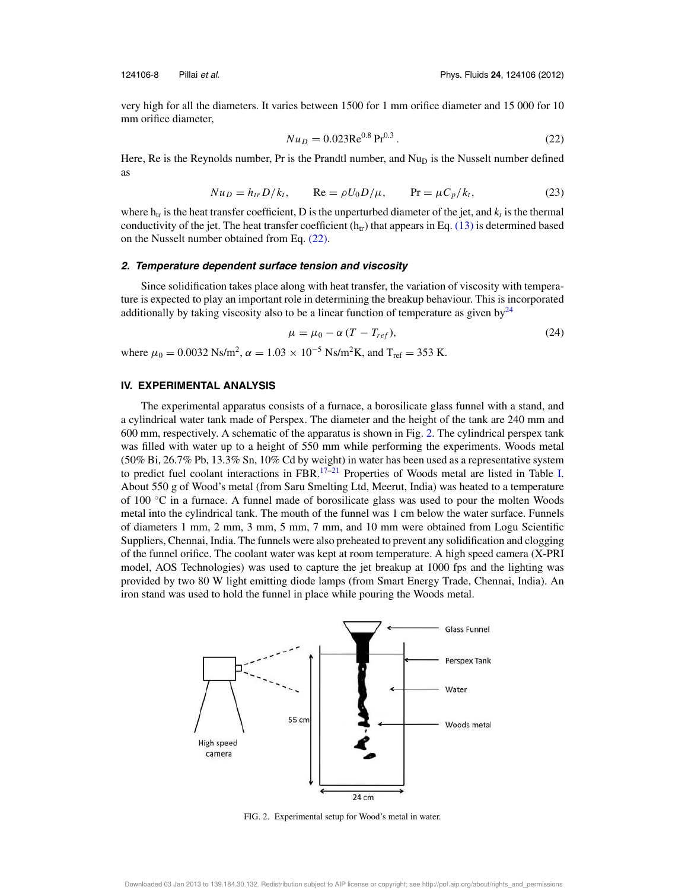very high for all the diameters. It varies between 1500 for 1 mm orifice diameter and 15 000 for 10 mm orifice diameter,

$$
Nu_D = 0.023 \text{Re}^{0.8} \text{Pr}^{0.3} \,. \tag{22}
$$

Here, Re is the Reynolds number, Pr is the Prandtl number, and  $Nu<sub>D</sub>$  is the Nusselt number defined as

$$
Nu_D = h_{tr} D/k_t, \qquad \text{Re} = \rho U_0 D/\mu, \qquad \text{Pr} = \mu C_p/k_t,
$$
 (23)

where  $h_{tr}$  is the heat transfer coefficient, D is the unperturbed diameter of the jet, and  $k_t$  is the thermal conductivity of the jet. The heat transfer coefficient  $(h_{tr})$  that appears in Eq. (13) is determined based on the Nusselt number obtained from Eq. (22).

#### **2. Temperature dependent surface tension and viscosity**

Since solidification takes place along with heat transfer, the variation of viscosity with temperature is expected to play an important role in determining the breakup behaviour. This is incorporated additionally by taking viscosity also to be a linear function of temperature as given by<sup>24</sup>

$$
\mu = \mu_0 - \alpha (T - T_{ref}),\tag{24}
$$

where  $\mu_0 = 0.0032 \text{ Ns/m}^2$ ,  $\alpha = 1.03 \times 10^{-5} \text{ Ns/m}^2 \text{K}$ , and  $T_{ref} = 353 \text{ K}$ .

#### **IV. EXPERIMENTAL ANALYSIS**

The experimental apparatus consists of a furnace, a borosilicate glass funnel with a stand, and a cylindrical water tank made of Perspex. The diameter and the height of the tank are 240 mm and 600 mm, respectively. A schematic of the apparatus is shown in Fig. 2. The cylindrical perspex tank was filled with water up to a height of 550 mm while performing the experiments. Woods metal (50% Bi, 26.7% Pb, 13.3% Sn, 10% Cd by weight) in water has been used as a representative system to predict fuel coolant interactions in FBR.<sup>17-21</sup> Properties of Woods metal are listed in Table I. About 550 g of Wood's metal (from Saru Smelting Ltd, Meerut, India) was heated to a temperature of 100 ◦C in a furnace. A funnel made of borosilicate glass was used to pour the molten Woods metal into the cylindrical tank. The mouth of the funnel was 1 cm below the water surface. Funnels of diameters 1 mm, 2 mm, 3 mm, 5 mm, 7 mm, and 10 mm were obtained from Logu Scientific Suppliers, Chennai, India. The funnels were also preheated to prevent any solidification and clogging of the funnel orifice. The coolant water was kept at room temperature. A high speed camera (X-PRI model, AOS Technologies) was used to capture the jet breakup at 1000 fps and the lighting was provided by two 80 W light emitting diode lamps (from Smart Energy Trade, Chennai, India). An iron stand was used to hold the funnel in place while pouring the Woods metal.



FIG. 2. Experimental setup for Wood's metal in water.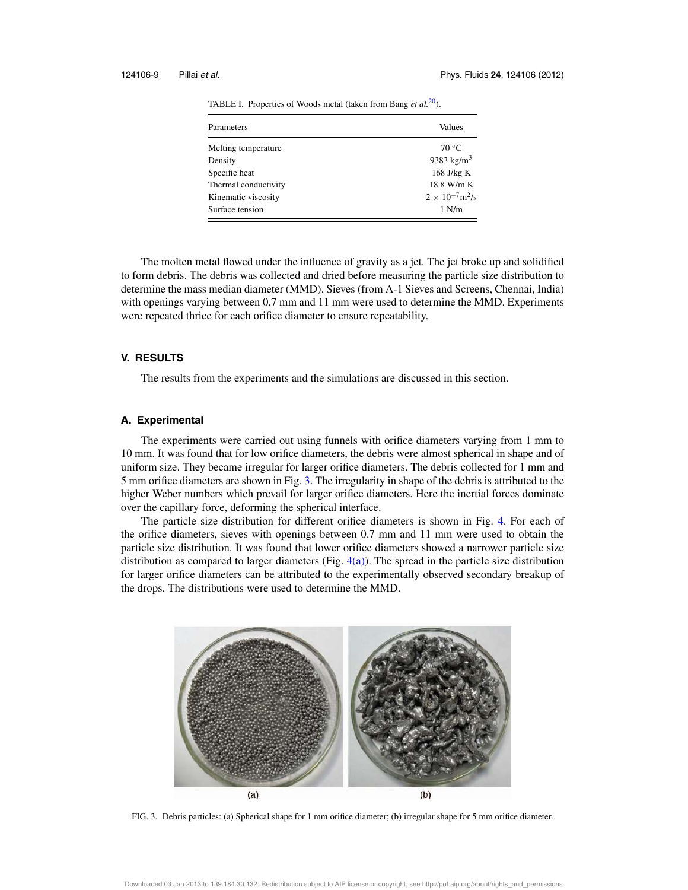| Parameters           | Values                               |
|----------------------|--------------------------------------|
| Melting temperature  | $70^{\circ}$ C                       |
| Density              | 9383 kg/m <sup>3</sup>               |
| Specific heat        | 168 J/kg K                           |
| Thermal conductivity | 18.8 W/m K                           |
| Kinematic viscosity  | $2 \times 10^{-7}$ m <sup>2</sup> /s |
| Surface tension      | $1$ N/m                              |

TABLE I. Properties of Woods metal (taken from Bang *et al.*20).

The molten metal flowed under the influence of gravity as a jet. The jet broke up and solidified to form debris. The debris was collected and dried before measuring the particle size distribution to determine the mass median diameter (MMD). Sieves (from A-1 Sieves and Screens, Chennai, India) with openings varying between 0.7 mm and 11 mm were used to determine the MMD. Experiments were repeated thrice for each orifice diameter to ensure repeatability.

#### **V. RESULTS**

The results from the experiments and the simulations are discussed in this section.

#### **A. Experimental**

The experiments were carried out using funnels with orifice diameters varying from 1 mm to 10 mm. It was found that for low orifice diameters, the debris were almost spherical in shape and of uniform size. They became irregular for larger orifice diameters. The debris collected for 1 mm and 5 mm orifice diameters are shown in Fig. 3. The irregularity in shape of the debris is attributed to the higher Weber numbers which prevail for larger orifice diameters. Here the inertial forces dominate over the capillary force, deforming the spherical interface.

The particle size distribution for different orifice diameters is shown in Fig. 4. For each of the orifice diameters, sieves with openings between 0.7 mm and 11 mm were used to obtain the particle size distribution. It was found that lower orifice diameters showed a narrower particle size distribution as compared to larger diameters (Fig.  $4(a)$ ). The spread in the particle size distribution for larger orifice diameters can be attributed to the experimentally observed secondary breakup of the drops. The distributions were used to determine the MMD.



FIG. 3. Debris particles: (a) Spherical shape for 1 mm orifice diameter; (b) irregular shape for 5 mm orifice diameter.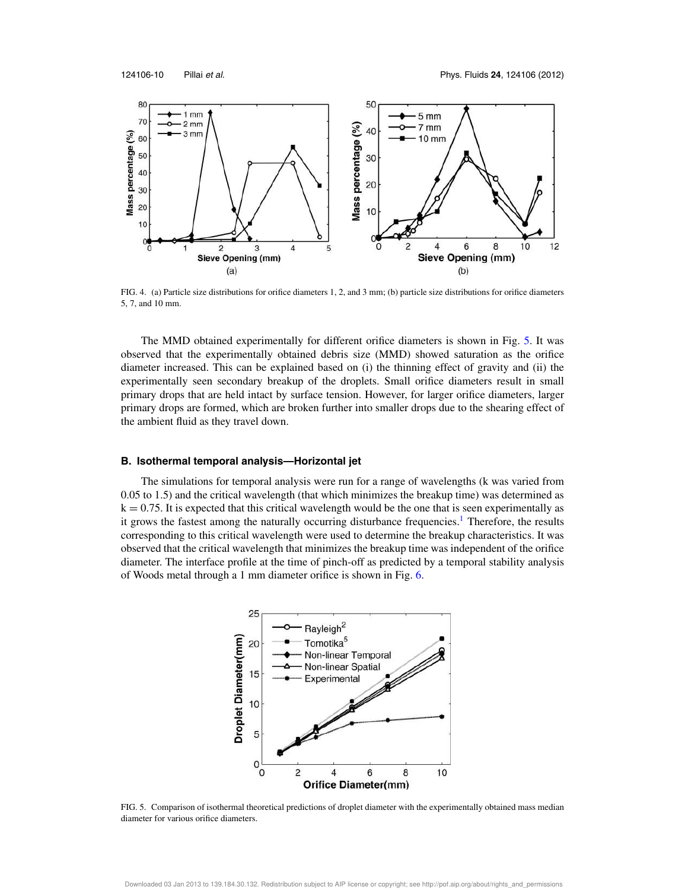

FIG. 4. (a) Particle size distributions for orifice diameters 1, 2, and 3 mm; (b) particle size distributions for orifice diameters 5, 7, and 10 mm.

The MMD obtained experimentally for different orifice diameters is shown in Fig. 5. It was observed that the experimentally obtained debris size (MMD) showed saturation as the orifice diameter increased. This can be explained based on (i) the thinning effect of gravity and (ii) the experimentally seen secondary breakup of the droplets. Small orifice diameters result in small primary drops that are held intact by surface tension. However, for larger orifice diameters, larger primary drops are formed, which are broken further into smaller drops due to the shearing effect of the ambient fluid as they travel down.

#### **B. Isothermal temporal analysis—Horizontal jet**

The simulations for temporal analysis were run for a range of wavelengths (k was varied from 0.05 to 1.5) and the critical wavelength (that which minimizes the breakup time) was determined as  $k = 0.75$ . It is expected that this critical wavelength would be the one that is seen experimentally as it grows the fastest among the naturally occurring disturbance frequencies.<sup>1</sup> Therefore, the results corresponding to this critical wavelength were used to determine the breakup characteristics. It was observed that the critical wavelength that minimizes the breakup time was independent of the orifice diameter. The interface profile at the time of pinch-off as predicted by a temporal stability analysis of Woods metal through a 1 mm diameter orifice is shown in Fig. 6.



FIG. 5. Comparison of isothermal theoretical predictions of droplet diameter with the experimentally obtained mass median diameter for various orifice diameters.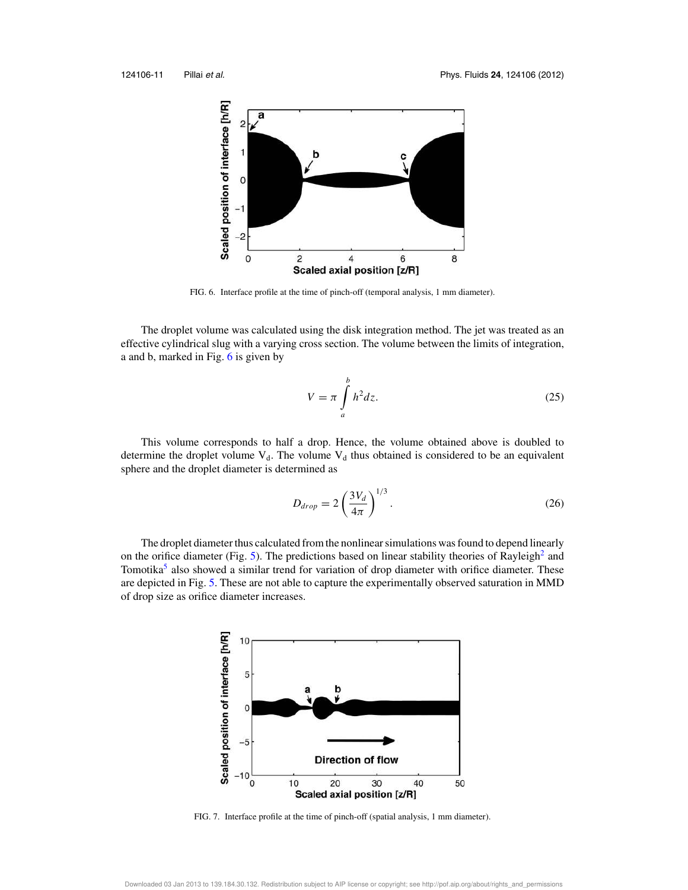

FIG. 6. Interface profile at the time of pinch-off (temporal analysis, 1 mm diameter).

The droplet volume was calculated using the disk integration method. The jet was treated as an effective cylindrical slug with a varying cross section. The volume between the limits of integration, a and b, marked in Fig. 6 is given by

$$
V = \pi \int_{a}^{b} h^2 dz.
$$
 (25)

This volume corresponds to half a drop. Hence, the volume obtained above is doubled to determine the droplet volume  $V_d$ . The volume  $V_d$  thus obtained is considered to be an equivalent sphere and the droplet diameter is determined as

$$
D_{drop} = 2\left(\frac{3V_d}{4\pi}\right)^{1/3}.\tag{26}
$$

The droplet diameter thus calculated from the nonlinear simulations was found to depend linearly on the orifice diameter (Fig. 5). The predictions based on linear stability theories of Rayleigh<sup>2</sup> and Tomotika<sup>5</sup> also showed a similar trend for variation of drop diameter with orifice diameter. These are depicted in Fig. 5. These are not able to capture the experimentally observed saturation in MMD of drop size as orifice diameter increases.



FIG. 7. Interface profile at the time of pinch-off (spatial analysis, 1 mm diameter).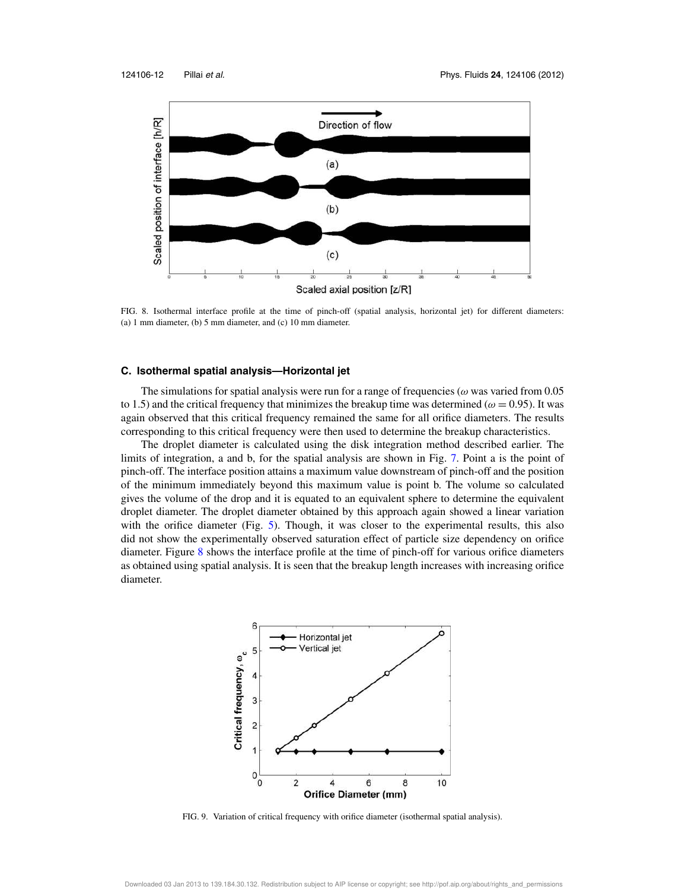

FIG. 8. Isothermal interface profile at the time of pinch-off (spatial analysis, horizontal jet) for different diameters: (a) 1 mm diameter, (b) 5 mm diameter, and (c) 10 mm diameter.

#### **C. Isothermal spatial analysis—Horizontal jet**

The simulations for spatial analysis were run for a range of frequencies ( $\omega$  was varied from 0.05 to 1.5) and the critical frequency that minimizes the breakup time was determined ( $\omega = 0.95$ ). It was again observed that this critical frequency remained the same for all orifice diameters. The results corresponding to this critical frequency were then used to determine the breakup characteristics.

The droplet diameter is calculated using the disk integration method described earlier. The limits of integration, a and b, for the spatial analysis are shown in Fig. 7. Point a is the point of pinch-off. The interface position attains a maximum value downstream of pinch-off and the position of the minimum immediately beyond this maximum value is point b. The volume so calculated gives the volume of the drop and it is equated to an equivalent sphere to determine the equivalent droplet diameter. The droplet diameter obtained by this approach again showed a linear variation with the orifice diameter (Fig. 5). Though, it was closer to the experimental results, this also did not show the experimentally observed saturation effect of particle size dependency on orifice diameter. Figure 8 shows the interface profile at the time of pinch-off for various orifice diameters as obtained using spatial analysis. It is seen that the breakup length increases with increasing orifice diameter.



FIG. 9. Variation of critical frequency with orifice diameter (isothermal spatial analysis).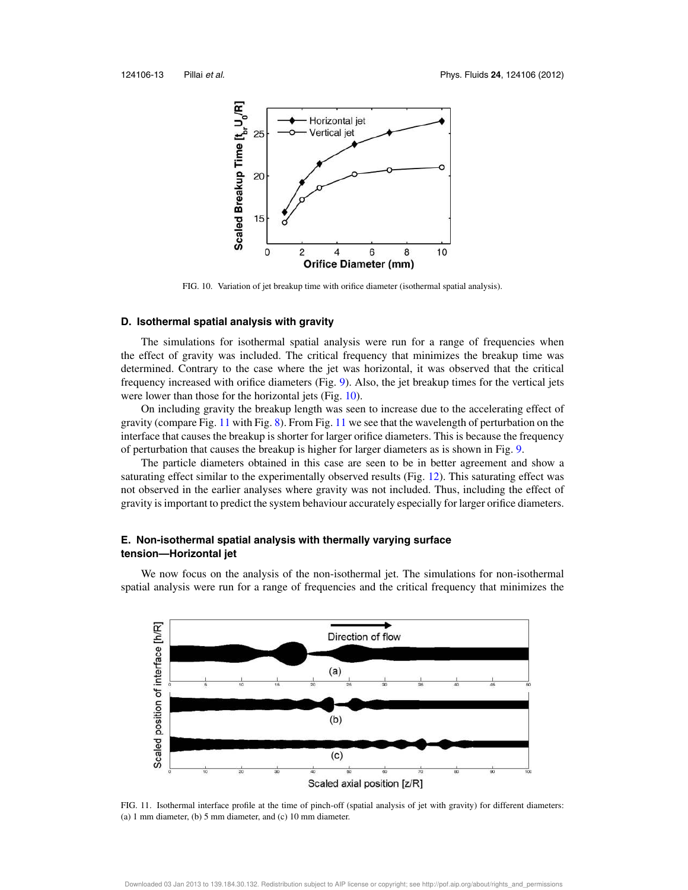

FIG. 10. Variation of jet breakup time with orifice diameter (isothermal spatial analysis).

# **D. Isothermal spatial analysis with gravity**

The simulations for isothermal spatial analysis were run for a range of frequencies when the effect of gravity was included. The critical frequency that minimizes the breakup time was determined. Contrary to the case where the jet was horizontal, it was observed that the critical frequency increased with orifice diameters (Fig. 9). Also, the jet breakup times for the vertical jets were lower than those for the horizontal jets (Fig. 10).

On including gravity the breakup length was seen to increase due to the accelerating effect of gravity (compare Fig. 11 with Fig. 8). From Fig. 11 we see that the wavelength of perturbation on the interface that causes the breakup is shorter for larger orifice diameters. This is because the frequency of perturbation that causes the breakup is higher for larger diameters as is shown in Fig. 9.

The particle diameters obtained in this case are seen to be in better agreement and show a saturating effect similar to the experimentally observed results (Fig. 12). This saturating effect was not observed in the earlier analyses where gravity was not included. Thus, including the effect of gravity is important to predict the system behaviour accurately especially for larger orifice diameters.

# **E. Non-isothermal spatial analysis with thermally varying surface tension—Horizontal jet**

We now focus on the analysis of the non-isothermal jet. The simulations for non-isothermal spatial analysis were run for a range of frequencies and the critical frequency that minimizes the



FIG. 11. Isothermal interface profile at the time of pinch-off (spatial analysis of jet with gravity) for different diameters: (a) 1 mm diameter, (b) 5 mm diameter, and (c) 10 mm diameter.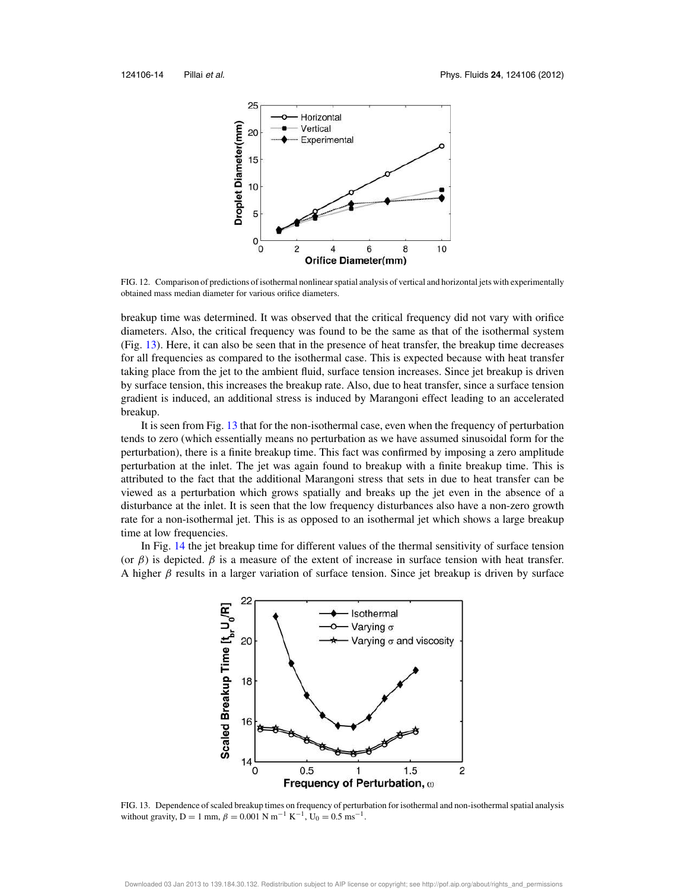

FIG. 12. Comparison of predictions of isothermal nonlinear spatial analysis of vertical and horizontal jets with experimentally obtained mass median diameter for various orifice diameters.

breakup time was determined. It was observed that the critical frequency did not vary with orifice diameters. Also, the critical frequency was found to be the same as that of the isothermal system (Fig. 13). Here, it can also be seen that in the presence of heat transfer, the breakup time decreases for all frequencies as compared to the isothermal case. This is expected because with heat transfer taking place from the jet to the ambient fluid, surface tension increases. Since jet breakup is driven by surface tension, this increases the breakup rate. Also, due to heat transfer, since a surface tension gradient is induced, an additional stress is induced by Marangoni effect leading to an accelerated breakup.

It is seen from Fig. 13 that for the non-isothermal case, even when the frequency of perturbation tends to zero (which essentially means no perturbation as we have assumed sinusoidal form for the perturbation), there is a finite breakup time. This fact was confirmed by imposing a zero amplitude perturbation at the inlet. The jet was again found to breakup with a finite breakup time. This is attributed to the fact that the additional Marangoni stress that sets in due to heat transfer can be viewed as a perturbation which grows spatially and breaks up the jet even in the absence of a disturbance at the inlet. It is seen that the low frequency disturbances also have a non-zero growth rate for a non-isothermal jet. This is as opposed to an isothermal jet which shows a large breakup time at low frequencies.

In Fig. 14 the jet breakup time for different values of the thermal sensitivity of surface tension (or  $\beta$ ) is depicted.  $\beta$  is a measure of the extent of increase in surface tension with heat transfer. A higher  $\beta$  results in a larger variation of surface tension. Since jet breakup is driven by surface



FIG. 13. Dependence of scaled breakup times on frequency of perturbation for isothermal and non-isothermal spatial analysis without gravity, D = 1 mm,  $\beta = 0.001$  N m<sup>-1</sup> K<sup>-1</sup>, U<sub>0</sub> = 0.5 ms<sup>-1</sup>.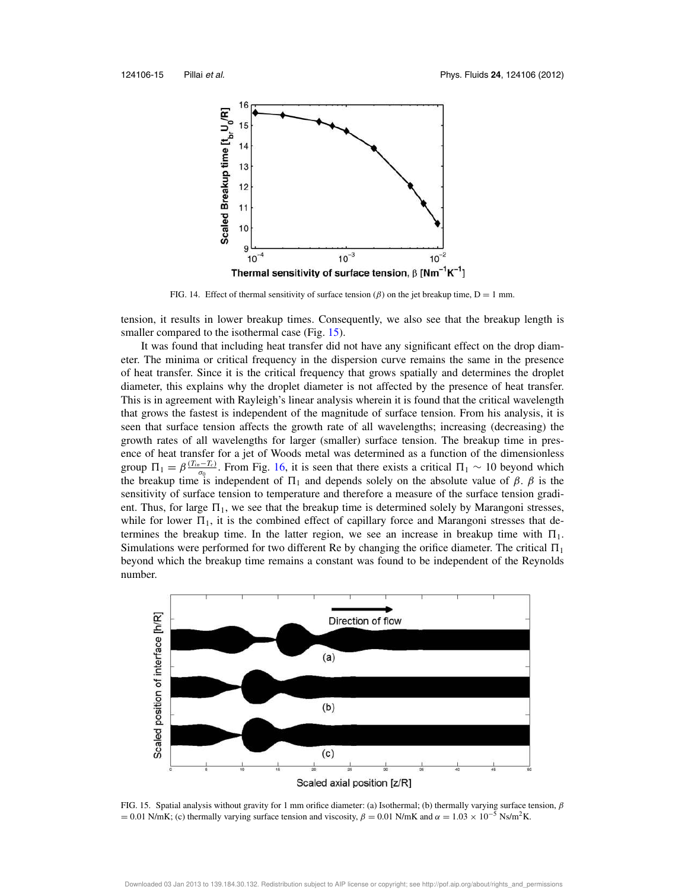

FIG. 14. Effect of thermal sensitivity of surface tension  $(\beta)$  on the jet breakup time, D = 1 mm.

tension, it results in lower breakup times. Consequently, we also see that the breakup length is smaller compared to the isothermal case (Fig. 15).

It was found that including heat transfer did not have any significant effect on the drop diameter. The minima or critical frequency in the dispersion curve remains the same in the presence of heat transfer. Since it is the critical frequency that grows spatially and determines the droplet diameter, this explains why the droplet diameter is not affected by the presence of heat transfer. This is in agreement with Rayleigh's linear analysis wherein it is found that the critical wavelength that grows the fastest is independent of the magnitude of surface tension. From his analysis, it is seen that surface tension affects the growth rate of all wavelengths; increasing (decreasing) the growth rates of all wavelengths for larger (smaller) surface tension. The breakup time in presence of heat transfer for a jet of Woods metal was determined as a function of the dimensionless group  $\Pi_1 = \beta \frac{(T_{in} - T_c)}{\sigma_0}$ . From Fig. 16, it is seen that there exists a critical  $\Pi_1 \sim 10$  beyond which  $\lim_{\epsilon \to 0} \frac{\sigma_0}{\sigma_0}$ . Then  $\lim_{\epsilon \to 0} \frac{\sigma_0}{\epsilon}$  is the second that there exists a citied  $\pi_1$  to beyond which sensitivity of surface tension to temperature and therefore a measure of the surface tension gradient. Thus, for large  $\Pi_1$ , we see that the breakup time is determined solely by Marangoni stresses, while for lower  $\Pi_1$ , it is the combined effect of capillary force and Marangoni stresses that determines the breakup time. In the latter region, we see an increase in breakup time with  $\Pi_1$ . Simulations were performed for two different Re by changing the orifice diameter. The critical  $\Pi_1$ beyond which the breakup time remains a constant was found to be independent of the Reynolds number.



FIG. 15. Spatial analysis without gravity for 1 mm orifice diameter: (a) Isothermal; (b) thermally varying surface tension,  $\beta$  $= 0.01$  N/mK; (c) thermally varying surface tension and viscosity,  $\beta = 0.01$  N/mK and  $\alpha = 1.03 \times 10^{-5}$  Ns/m<sup>2</sup>K.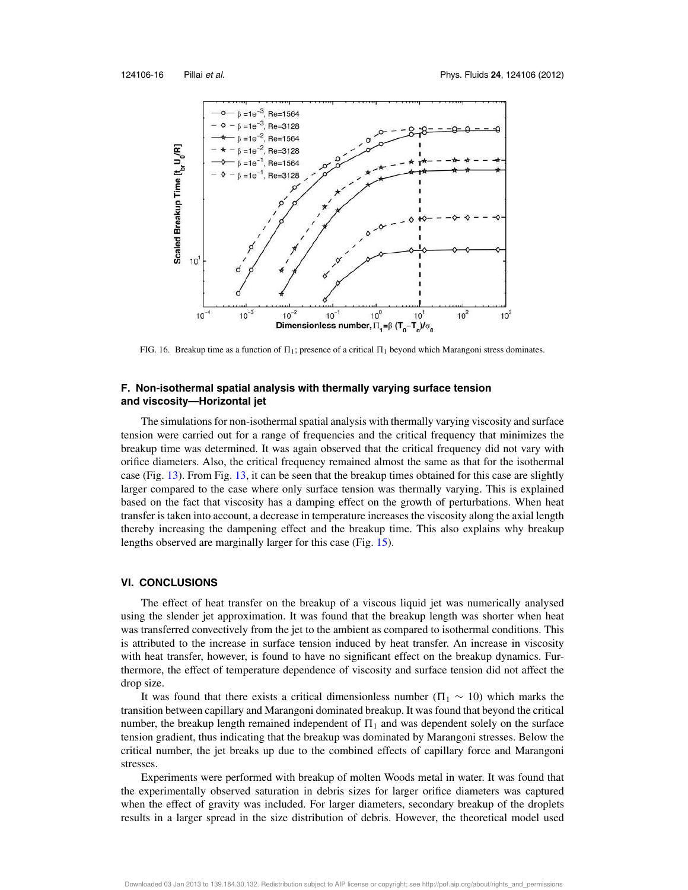

FIG. 16. Breakup time as a function of  $\Pi_1$ ; presence of a critical  $\Pi_1$  beyond which Marangoni stress dominates.

# **F. Non-isothermal spatial analysis with thermally varying surface tension and viscosity—Horizontal jet**

The simulations for non-isothermal spatial analysis with thermally varying viscosity and surface tension were carried out for a range of frequencies and the critical frequency that minimizes the breakup time was determined. It was again observed that the critical frequency did not vary with orifice diameters. Also, the critical frequency remained almost the same as that for the isothermal case (Fig. 13). From Fig. 13, it can be seen that the breakup times obtained for this case are slightly larger compared to the case where only surface tension was thermally varying. This is explained based on the fact that viscosity has a damping effect on the growth of perturbations. When heat transfer is taken into account, a decrease in temperature increases the viscosity along the axial length thereby increasing the dampening effect and the breakup time. This also explains why breakup lengths observed are marginally larger for this case (Fig. 15).

### **VI. CONCLUSIONS**

The effect of heat transfer on the breakup of a viscous liquid jet was numerically analysed using the slender jet approximation. It was found that the breakup length was shorter when heat was transferred convectively from the jet to the ambient as compared to isothermal conditions. This is attributed to the increase in surface tension induced by heat transfer. An increase in viscosity with heat transfer, however, is found to have no significant effect on the breakup dynamics. Furthermore, the effect of temperature dependence of viscosity and surface tension did not affect the drop size.

It was found that there exists a critical dimensionless number ( $\Pi_1 \sim 10$ ) which marks the transition between capillary and Marangoni dominated breakup. It was found that beyond the critical number, the breakup length remained independent of  $\Pi_1$  and was dependent solely on the surface tension gradient, thus indicating that the breakup was dominated by Marangoni stresses. Below the critical number, the jet breaks up due to the combined effects of capillary force and Marangoni stresses.

Experiments were performed with breakup of molten Woods metal in water. It was found that the experimentally observed saturation in debris sizes for larger orifice diameters was captured when the effect of gravity was included. For larger diameters, secondary breakup of the droplets results in a larger spread in the size distribution of debris. However, the theoretical model used